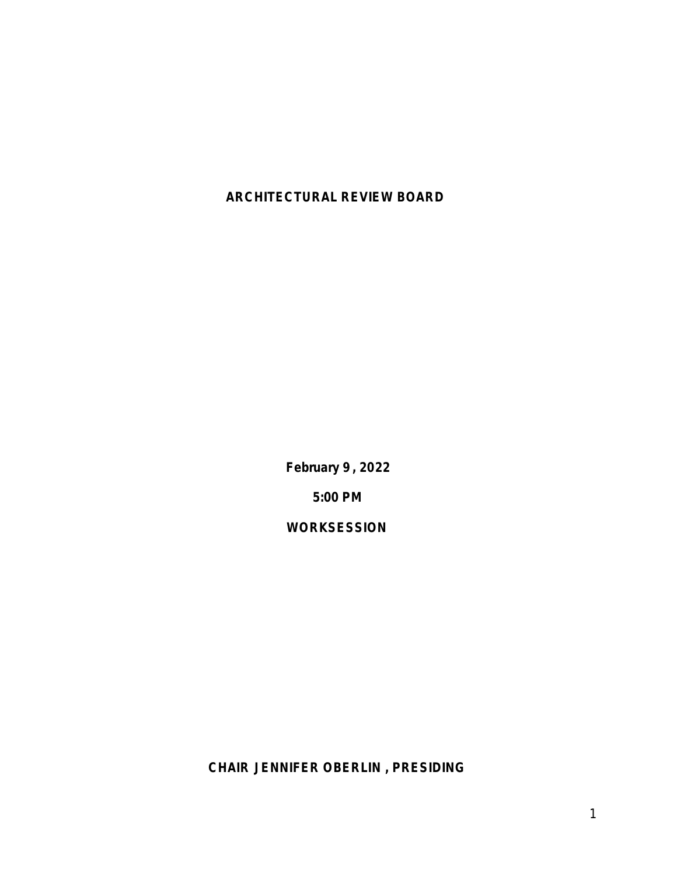# **ARCHITECTURAL REVIEW BOARD**

**February 9 , 2022 5:00 PM**

**WORKSESSION**

**CHAIR JENNIFER OBERLIN , PRESIDING**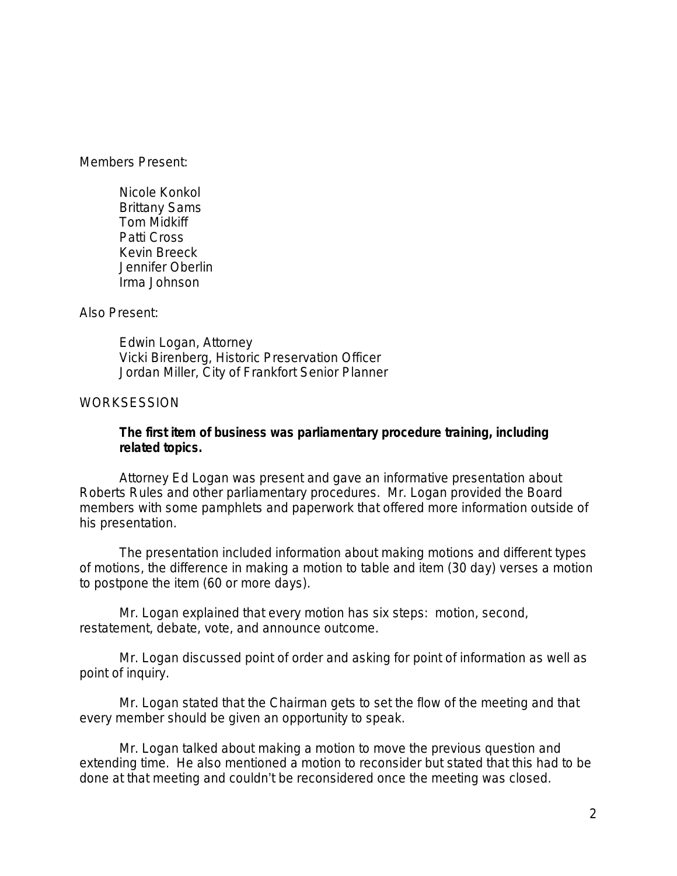Members Present:

Nicole Konkol Brittany Sams Tom Midkiff Patti Cross Kevin Breeck Jennifer Oberlin Irma Johnson

Also Present:

Edwin Logan, Attorney Vicki Birenberg, Historic Preservation Officer Jordan Miller, City of Frankfort Senior Planner

#### WORKSESSION

#### **The first item of business was parliamentary procedure training, including related topics.**

Attorney Ed Logan was present and gave an informative presentation about Roberts Rules and other parliamentary procedures. Mr. Logan provided the Board members with some pamphlets and paperwork that offered more information outside of his presentation.

The presentation included information about making motions and different types of motions, the difference in making a motion to table and item (30 day) verses a motion to postpone the item (60 or more days).

Mr. Logan explained that every motion has six steps: motion, second, restatement, debate, vote, and announce outcome.

Mr. Logan discussed point of order and asking for point of information as well as point of inquiry.

Mr. Logan stated that the Chairman gets to set the flow of the meeting and that every member should be given an opportunity to speak.

Mr. Logan talked about making a motion to move the previous question and extending time. He also mentioned a motion to reconsider but stated that this had to be done at that meeting and couldn't be reconsidered once the meeting was closed.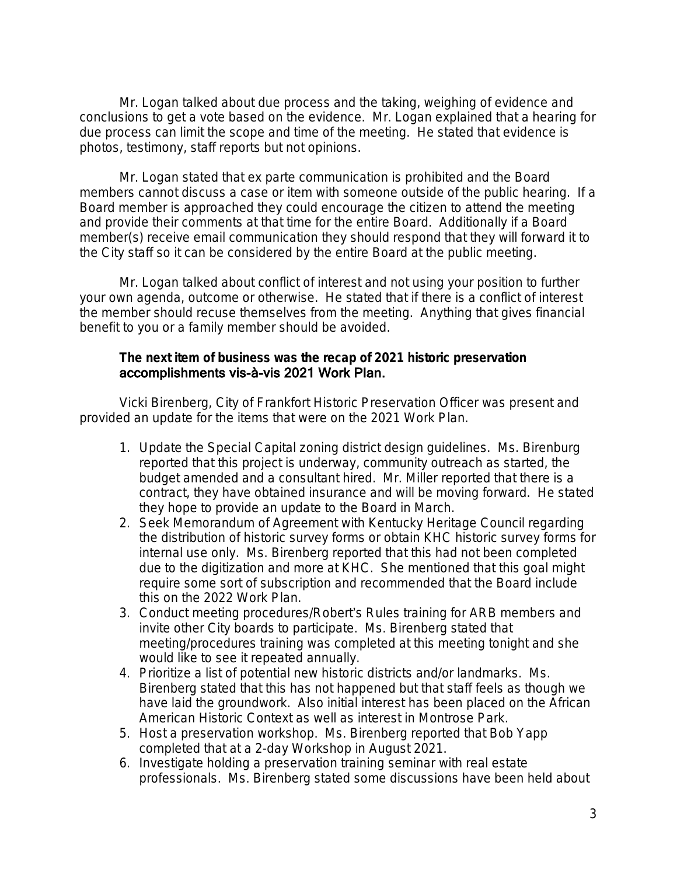Mr. Logan talked about due process and the taking, weighing of evidence and conclusions to get a vote based on the evidence. Mr. Logan explained that a hearing for due process can limit the scope and time of the meeting. He stated that evidence is photos, testimony, staff reports but not opinions.

Mr. Logan stated that ex parte communication is prohibited and the Board members cannot discuss a case or item with someone outside of the public hearing. If a Board member is approached they could encourage the citizen to attend the meeting and provide their comments at that time for the entire Board. Additionally if a Board member(s) receive email communication they should respond that they will forward it to the City staff so it can be considered by the entire Board at the public meeting.

Mr. Logan talked about conflict of interest and not using your position to further your own agenda, outcome or otherwise. He stated that if there is a conflict of interest the member should recuse themselves from the meeting. Anything that gives financial benefit to you or a family member should be avoided.

## **The next item of business was the recap of 2021 historic preservation**  accomplishments vis-à-vis 2021 Work Plan.

Vicki Birenberg, City of Frankfort Historic Preservation Officer was present and provided an update for the items that were on the 2021 Work Plan.

- 1. Update the Special Capital zoning district design guidelines. Ms. Birenburg reported that this project is underway, community outreach as started, the budget amended and a consultant hired. Mr. Miller reported that there is a contract, they have obtained insurance and will be moving forward. He stated they hope to provide an update to the Board in March.
- 2. Seek Memorandum of Agreement with Kentucky Heritage Council regarding the distribution of historic survey forms or obtain KHC historic survey forms for internal use only. Ms. Birenberg reported that this had not been completed due to the digitization and more at KHC. She mentioned that this goal might require some sort of subscription and recommended that the Board include this on the 2022 Work Plan.
- 3. Conduct meeting procedures/Robert's Rules training for ARB members and invite other City boards to participate. Ms. Birenberg stated that meeting/procedures training was completed at this meeting tonight and she would like to see it repeated annually.
- 4. Prioritize a list of potential new historic districts and/or landmarks. Ms. Birenberg stated that this has not happened but that staff feels as though we have laid the groundwork. Also initial interest has been placed on the African American Historic Context as well as interest in Montrose Park.
- 5. Host a preservation workshop. Ms. Birenberg reported that Bob Yapp completed that at a 2-day Workshop in August 2021.
- 6. Investigate holding a preservation training seminar with real estate professionals. Ms. Birenberg stated some discussions have been held about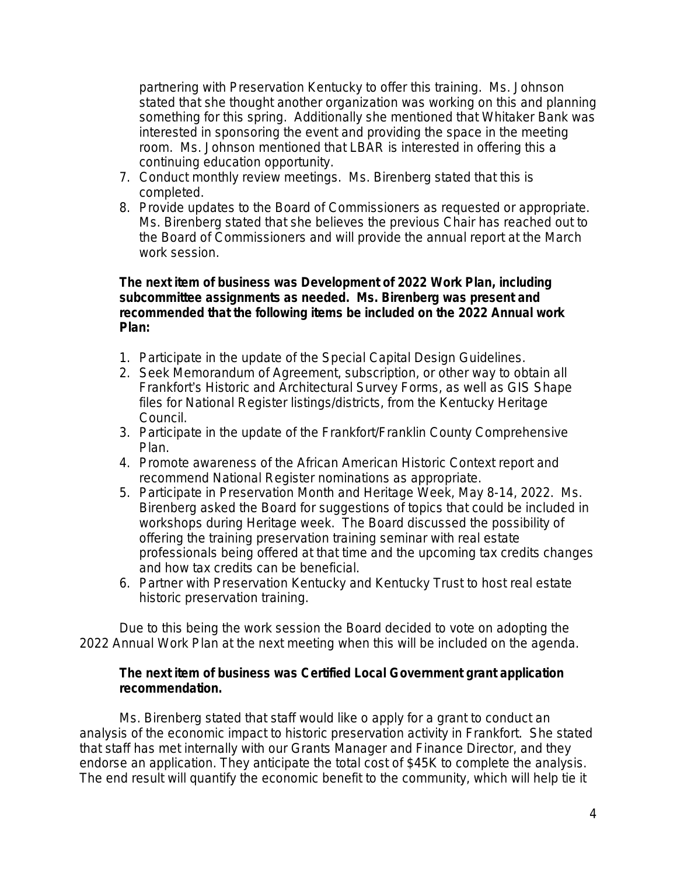partnering with Preservation Kentucky to offer this training. Ms. Johnson stated that she thought another organization was working on this and planning something for this spring. Additionally she mentioned that Whitaker Bank was interested in sponsoring the event and providing the space in the meeting room. Ms. Johnson mentioned that LBAR is interested in offering this a continuing education opportunity.

- 7. Conduct monthly review meetings. Ms. Birenberg stated that this is completed.
- 8. Provide updates to the Board of Commissioners as requested or appropriate. Ms. Birenberg stated that she believes the previous Chair has reached out to the Board of Commissioners and will provide the annual report at the March work session.

#### **The next item of business was Development of 2022 Work Plan, including subcommittee assignments as needed. Ms. Birenberg was present and recommended that the following items be included on the 2022 Annual work Plan:**

- 1. Participate in the update of the Special Capital Design Guidelines.
- 2. Seek Memorandum of Agreement, subscription, or other way to obtain all Frankfort's Historic and Architectural Survey Forms, as well as GIS Shape files for National Register listings/districts, from the Kentucky Heritage Council.
- 3. Participate in the update of the Frankfort/Franklin County Comprehensive Plan.
- 4. Promote awareness of the African American Historic Context report and recommend National Register nominations as appropriate.
- 5. Participate in Preservation Month and Heritage Week, May 8-14, 2022. Ms. Birenberg asked the Board for suggestions of topics that could be included in workshops during Heritage week. The Board discussed the possibility of offering the training preservation training seminar with real estate professionals being offered at that time and the upcoming tax credits changes and how tax credits can be beneficial.
- 6. Partner with Preservation Kentucky and Kentucky Trust to host real estate historic preservation training.

Due to this being the work session the Board decided to vote on adopting the 2022 Annual Work Plan at the next meeting when this will be included on the agenda.

#### **The next item of business was Certified Local Government grant application recommendation.**

Ms. Birenberg stated that staff would like o apply for a grant to conduct an analysis of the economic impact to historic preservation activity in Frankfort. She stated that staff has met internally with our Grants Manager and Finance Director, and they endorse an application. They anticipate the total cost of \$45K to complete the analysis. The end result will quantify the economic benefit to the community, which will help tie it